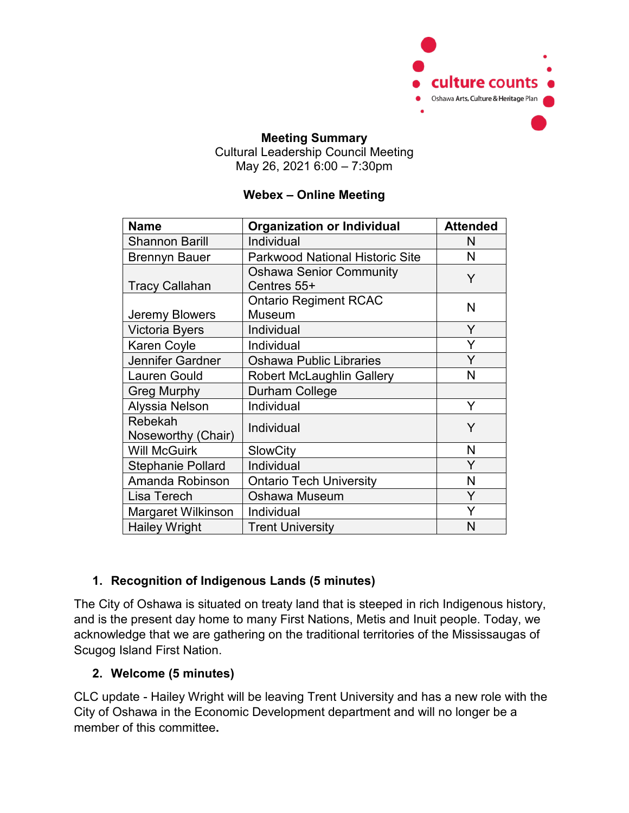

### **Meeting Summary** Cultural Leadership Council Meeting May 26, 2021 6:00 – 7:30pm

### **Webex – Online Meeting**

| <b>Name</b>                   | <b>Organization or Individual</b>             | <b>Attended</b> |
|-------------------------------|-----------------------------------------------|-----------------|
| <b>Shannon Barill</b>         | Individual                                    | N               |
| <b>Brennyn Bauer</b>          | <b>Parkwood National Historic Site</b>        | N               |
| <b>Tracy Callahan</b>         | <b>Oshawa Senior Community</b><br>Centres 55+ | Y               |
| Jeremy Blowers                | <b>Ontario Regiment RCAC</b><br>Museum        | N               |
| Victoria Byers                | Individual                                    | Y               |
| Karen Coyle                   | Individual                                    | Y               |
| Jennifer Gardner              | <b>Oshawa Public Libraries</b>                | Y               |
| <b>Lauren Gould</b>           | <b>Robert McLaughlin Gallery</b>              | N               |
| <b>Greg Murphy</b>            | Durham College                                |                 |
| Alyssia Nelson                | Individual                                    | Y               |
| Rebekah<br>Noseworthy (Chair) | Individual                                    | Y               |
| <b>Will McGuirk</b>           | <b>SlowCity</b>                               | N               |
| <b>Stephanie Pollard</b>      | Individual                                    | Y               |
| Amanda Robinson               | <b>Ontario Tech University</b>                | N               |
| Lisa Terech                   | Oshawa Museum                                 | Y               |
| Margaret Wilkinson            | Individual                                    | Y               |
| <b>Hailey Wright</b>          | <b>Trent University</b>                       | N               |

# **1. Recognition of Indigenous Lands (5 minutes)**

The City of Oshawa is situated on treaty land that is steeped in rich Indigenous history, and is the present day home to many First Nations, Metis and Inuit people. Today, we acknowledge that we are gathering on the traditional territories of the Mississaugas of Scugog Island First Nation.

### **2. Welcome (5 minutes)**

CLC update - Hailey Wright will be leaving Trent University and has a new role with the City of Oshawa in the Economic Development department and will no longer be a member of this committee**.**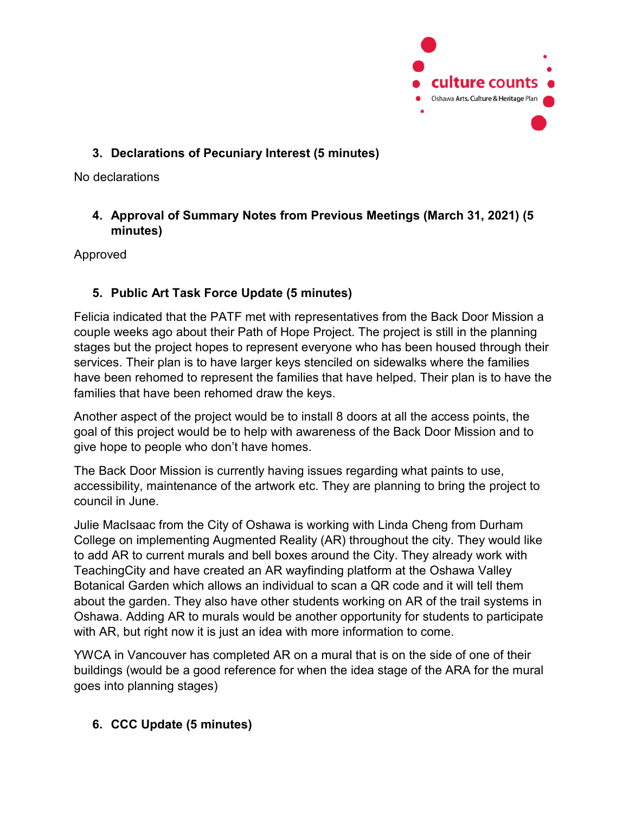

## **3. Declarations of Pecuniary Interest (5 minutes)**

No declarations

### **4. Approval of Summary Notes from Previous Meetings (March 31, 2021) (5 minutes)**

Approved

# **5. Public Art Task Force Update (5 minutes)**

Felicia indicated that the PATF met with representatives from the Back Door Mission a couple weeks ago about their Path of Hope Project. The project is still in the planning stages but the project hopes to represent everyone who has been housed through their services. Their plan is to have larger keys stenciled on sidewalks where the families have been rehomed to represent the families that have helped. Their plan is to have the families that have been rehomed draw the keys.

Another aspect of the project would be to install 8 doors at all the access points, the goal of this project would be to help with awareness of the Back Door Mission and to give hope to people who don't have homes.

The Back Door Mission is currently having issues regarding what paints to use, accessibility, maintenance of the artwork etc. They are planning to bring the project to council in June.

Julie MacIsaac from the City of Oshawa is working with Linda Cheng from Durham College on implementing Augmented Reality (AR) throughout the city. They would like to add AR to current murals and bell boxes around the City. They already work with TeachingCity and have created an AR wayfinding platform at the Oshawa Valley Botanical Garden which allows an individual to scan a QR code and it will tell them about the garden. They also have other students working on AR of the trail systems in Oshawa. Adding AR to murals would be another opportunity for students to participate with AR, but right now it is just an idea with more information to come.

YWCA in Vancouver has completed AR on a mural that is on the side of one of their buildings (would be a good reference for when the idea stage of the ARA for the mural goes into planning stages)

### **6. CCC Update (5 minutes)**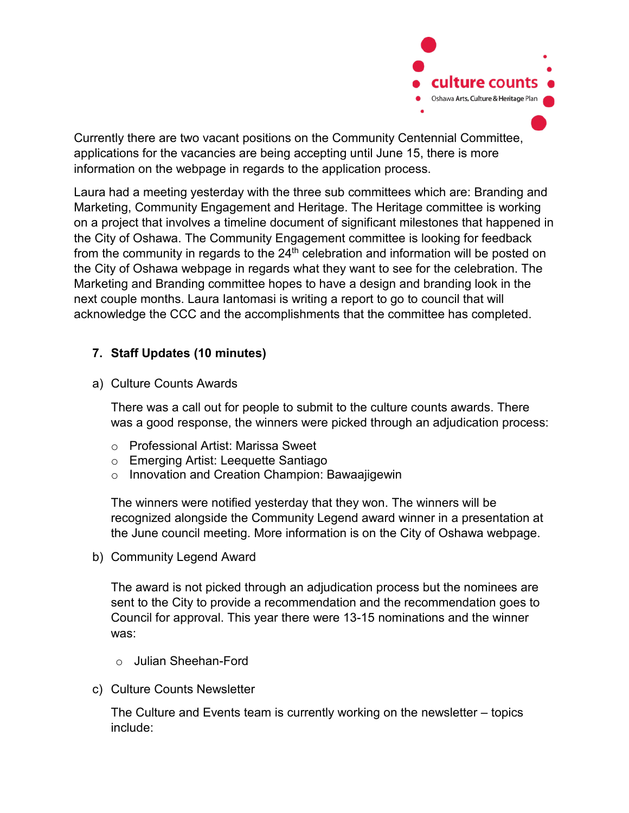

Currently there are two vacant positions on the Community Centennial Committee, applications for the vacancies are being accepting until June 15, there is more information on the webpage in regards to the application process.

Laura had a meeting yesterday with the three sub committees which are: Branding and Marketing, Community Engagement and Heritage. The Heritage committee is working on a project that involves a timeline document of significant milestones that happened in the City of Oshawa. The Community Engagement committee is looking for feedback from the community in regards to the  $24<sup>th</sup>$  celebration and information will be posted on the City of Oshawa webpage in regards what they want to see for the celebration. The Marketing and Branding committee hopes to have a design and branding look in the next couple months. Laura Iantomasi is writing a report to go to council that will acknowledge the CCC and the accomplishments that the committee has completed.

### **7. Staff Updates (10 minutes)**

a) Culture Counts Awards

There was a call out for people to submit to the culture counts awards. There was a good response, the winners were picked through an adjudication process:

- o Professional Artist: Marissa Sweet
- o Emerging Artist: Leequette Santiago
- o Innovation and Creation Champion: Bawaajigewin

The winners were notified yesterday that they won. The winners will be recognized alongside the Community Legend award winner in a presentation at the June council meeting. More information is on the City of Oshawa webpage.

b) Community Legend Award

The award is not picked through an adjudication process but the nominees are sent to the City to provide a recommendation and the recommendation goes to Council for approval. This year there were 13-15 nominations and the winner was:

- o Julian Sheehan-Ford
- c) Culture Counts Newsletter

The Culture and Events team is currently working on the newsletter – topics include: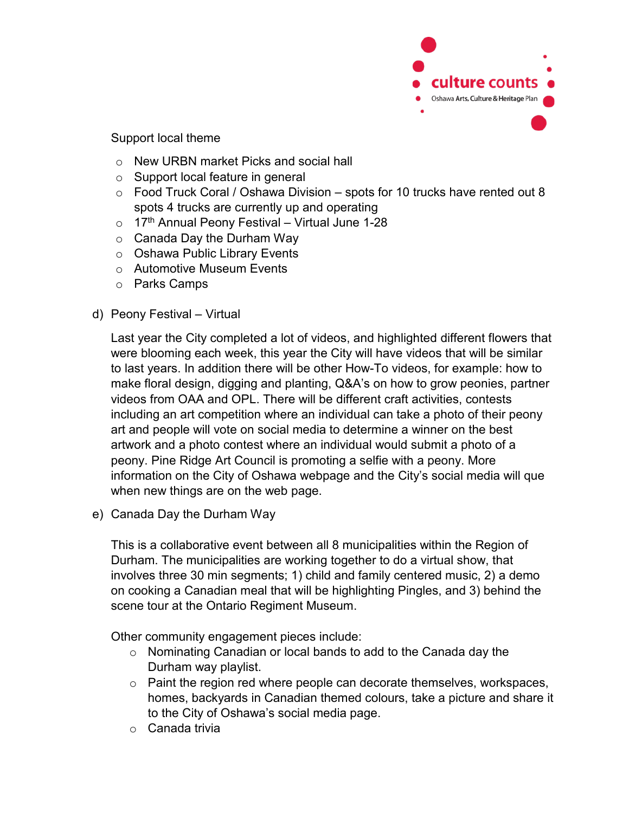

#### Support local theme

- o New URBN market Picks and social hall
- o Support local feature in general
- $\circ$  Food Truck Coral / Oshawa Division spots for 10 trucks have rented out 8 spots 4 trucks are currently up and operating
- $\circ$  17<sup>th</sup> Annual Peony Festival Virtual June 1-28
- o Canada Day the Durham Way
- o Oshawa Public Library Events
- o Automotive Museum Events
- o Parks Camps
- d) Peony Festival Virtual

Last year the City completed a lot of videos, and highlighted different flowers that were blooming each week, this year the City will have videos that will be similar to last years. In addition there will be other How-To videos, for example: how to make floral design, digging and planting, Q&A's on how to grow peonies, partner videos from OAA and OPL. There will be different craft activities, contests including an art competition where an individual can take a photo of their peony art and people will vote on social media to determine a winner on the best artwork and a photo contest where an individual would submit a photo of a peony. Pine Ridge Art Council is promoting a selfie with a peony. More information on the City of Oshawa webpage and the City's social media will que when new things are on the web page.

e) Canada Day the Durham Way

This is a collaborative event between all 8 municipalities within the Region of Durham. The municipalities are working together to do a virtual show, that involves three 30 min segments; 1) child and family centered music, 2) a demo on cooking a Canadian meal that will be highlighting Pingles, and 3) behind the scene tour at the Ontario Regiment Museum.

Other community engagement pieces include:

- o Nominating Canadian or local bands to add to the Canada day the Durham way playlist.
- o Paint the region red where people can decorate themselves, workspaces, homes, backyards in Canadian themed colours, take a picture and share it to the City of Oshawa's social media page.
- o Canada trivia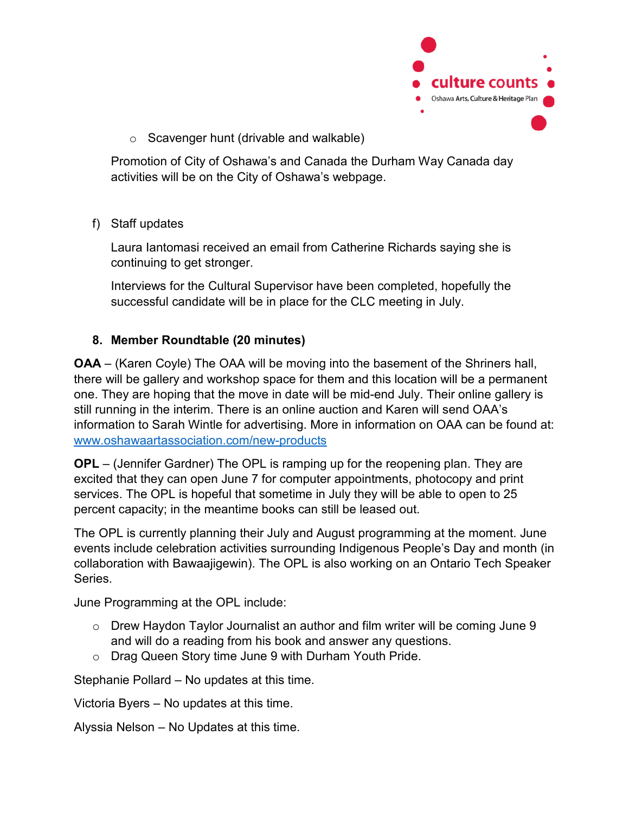

o Scavenger hunt (drivable and walkable)

Promotion of City of Oshawa's and Canada the Durham Way Canada day activities will be on the City of Oshawa's webpage.

f) Staff updates

Laura Iantomasi received an email from Catherine Richards saying she is continuing to get stronger.

Interviews for the Cultural Supervisor have been completed, hopefully the successful candidate will be in place for the CLC meeting in July.

### **8. Member Roundtable (20 minutes)**

**OAA** – (Karen Coyle) The OAA will be moving into the basement of the Shriners hall, there will be gallery and workshop space for them and this location will be a permanent one. They are hoping that the move in date will be mid-end July. Their online gallery is still running in the interim. There is an online auction and Karen will send OAA's information to Sarah Wintle for advertising. More in information on OAA can be found at: [www.oshawaartassociation.com/new-products](http://www.oshawaartassociation.com/new-products) 

**OPL** – (Jennifer Gardner) The OPL is ramping up for the reopening plan. They are excited that they can open June 7 for computer appointments, photocopy and print services. The OPL is hopeful that sometime in July they will be able to open to 25 percent capacity; in the meantime books can still be leased out.

The OPL is currently planning their July and August programming at the moment. June events include celebration activities surrounding Indigenous People's Day and month (in collaboration with Bawaajigewin). The OPL is also working on an Ontario Tech Speaker **Series** 

June Programming at the OPL include:

- o Drew Haydon Taylor Journalist an author and film writer will be coming June 9 and will do a reading from his book and answer any questions.
- o Drag Queen Story time June 9 with Durham Youth Pride.

Stephanie Pollard – No updates at this time.

Victoria Byers – No updates at this time.

Alyssia Nelson – No Updates at this time.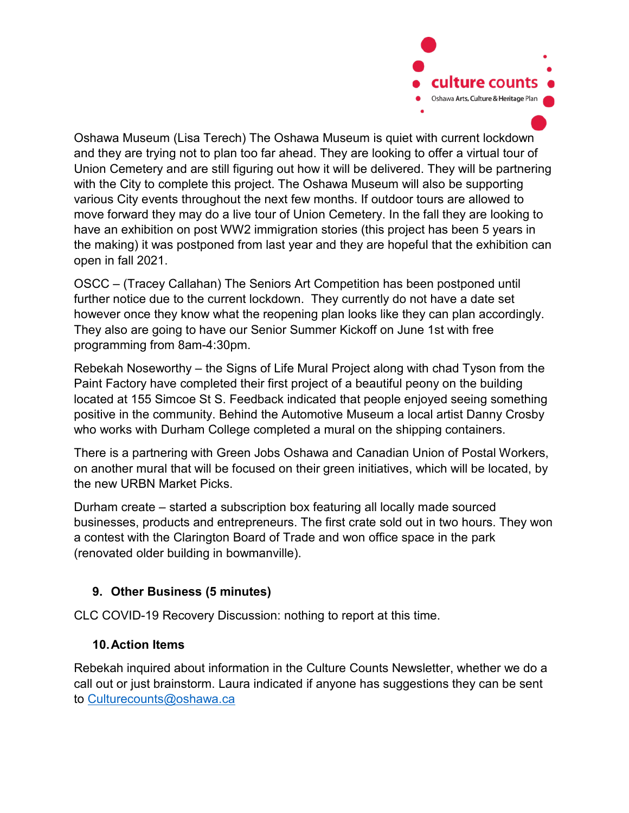

Oshawa Museum (Lisa Terech) The Oshawa Museum is quiet with current lockdown and they are trying not to plan too far ahead. They are looking to offer a virtual tour of Union Cemetery and are still figuring out how it will be delivered. They will be partnering with the City to complete this project. The Oshawa Museum will also be supporting various City events throughout the next few months. If outdoor tours are allowed to move forward they may do a live tour of Union Cemetery. In the fall they are looking to have an exhibition on post WW2 immigration stories (this project has been 5 years in the making) it was postponed from last year and they are hopeful that the exhibition can open in fall 2021.

OSCC – (Tracey Callahan) The Seniors Art Competition has been postponed until further notice due to the current lockdown. They currently do not have a date set however once they know what the reopening plan looks like they can plan accordingly. They also are going to have our Senior Summer Kickoff on June 1st with free programming from 8am-4:30pm.

Rebekah Noseworthy – the Signs of Life Mural Project along with chad Tyson from the Paint Factory have completed their first project of a beautiful peony on the building located at 155 Simcoe St S. Feedback indicated that people enjoyed seeing something positive in the community. Behind the Automotive Museum a local artist Danny Crosby who works with Durham College completed a mural on the shipping containers.

There is a partnering with Green Jobs Oshawa and Canadian Union of Postal Workers, on another mural that will be focused on their green initiatives, which will be located, by the new URBN Market Picks.

Durham create – started a subscription box featuring all locally made sourced businesses, products and entrepreneurs. The first crate sold out in two hours. They won a contest with the Clarington Board of Trade and won office space in the park (renovated older building in bowmanville).

# **9. Other Business (5 minutes)**

CLC COVID-19 Recovery Discussion: nothing to report at this time.

### **10.Action Items**

Rebekah inquired about information in the Culture Counts Newsletter, whether we do a call out or just brainstorm. Laura indicated if anyone has suggestions they can be sent to [Culturecounts@oshawa.ca](mailto:Culturecounts@oshawa.ca)